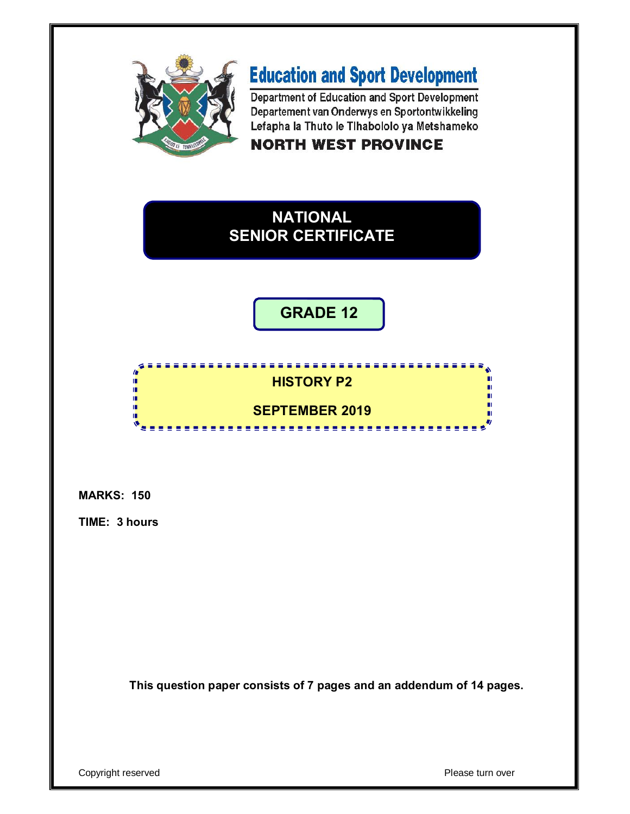

# **Education and Sport Development**

Department of Education and Sport Development Departement van Onderwys en Sportontwikkeling Lefapha la Thuto le Tihabololo ya Metshameko **NORTH WEST PROVINCE** 

# **NATIONAL SENIOR CERTIFICATE**

**GRADE 12**

# <u>................</u> **HISTORY P2**

# **SEPTEMBER 2019**

---------------

**MARKS: 150**

ıi φ ú. ú, т

**TIME: 3 hours**

**This question paper consists of 7 pages and an addendum of 14 pages.**

Copyright reserved **Please turn over**  $\blacksquare$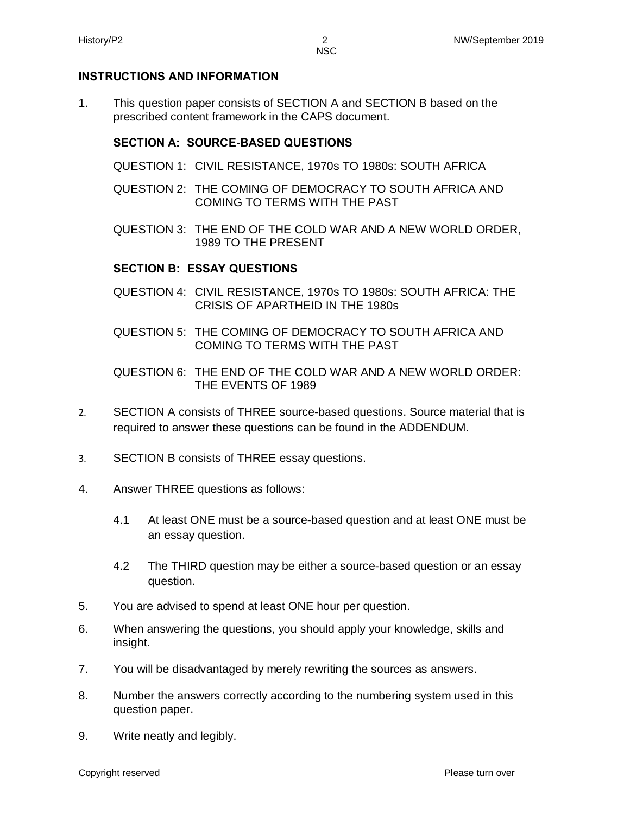## **INSTRUCTIONS AND INFORMATION**

1. This question paper consists of SECTION A and SECTION B based on the prescribed content framework in the CAPS document.

#### **SECTION A: SOURCE-BASED QUESTIONS**

- QUESTION 1: CIVIL RESISTANCE, 1970s TO 1980s: SOUTH AFRICA
- QUESTION 2: THE COMING OF DEMOCRACY TO SOUTH AFRICA AND COMING TO TERMS WITH THE PAST
- QUESTION 3: THE END OF THE COLD WAR AND A NEW WORLD ORDER, 1989 TO THE PRESENT

## **SECTION B: ESSAY QUESTIONS**

- QUESTION 4: CIVIL RESISTANCE, 1970s TO 1980s: SOUTH AFRICA: THE CRISIS OF APARTHEID IN THE 1980s
- QUESTION 5: THE COMING OF DEMOCRACY TO SOUTH AFRICA AND COMING TO TERMS WITH THE PAST
- QUESTION 6: THE END OF THE COLD WAR AND A NEW WORLD ORDER: THE EVENTS OF 1989
- 2. SECTION A consists of THREE source-based questions. Source material that is required to answer these questions can be found in the ADDENDUM.
- 3. SECTION B consists of THREE essay questions.
- 4. Answer THREE questions as follows:
	- 4.1 At least ONE must be a source-based question and at least ONE must be an essay question.
	- 4.2 The THIRD question may be either a source-based question or an essay question.
- 5. You are advised to spend at least ONE hour per question.
- 6. When answering the questions, you should apply your knowledge, skills and insight.
- 7. You will be disadvantaged by merely rewriting the sources as answers.
- 8. Number the answers correctly according to the numbering system used in this question paper.
- 9. Write neatly and legibly.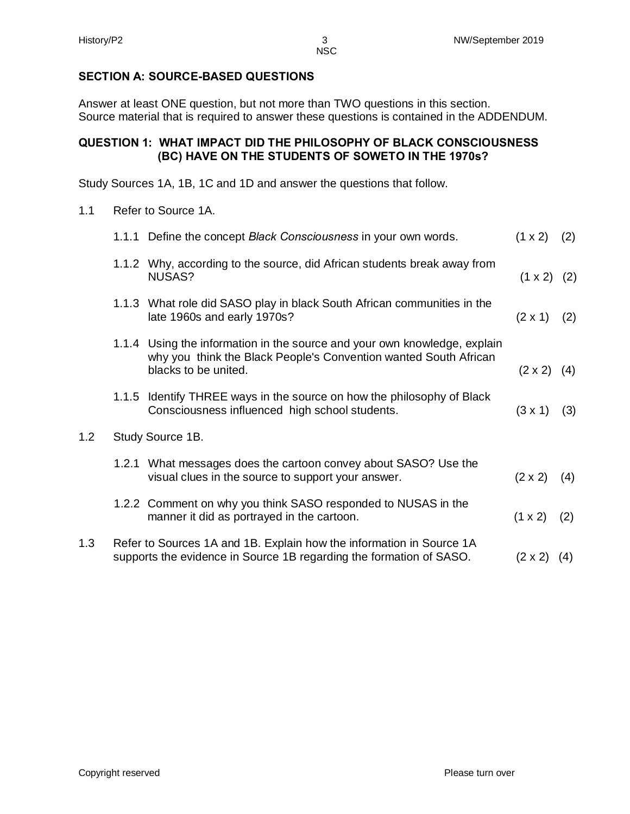$1.2$ 

#### **SECTION A: SOURCE-BASED QUESTIONS**

Answer at least ONE question, but not more than TWO questions in this section. Source material that is required to answer these questions is contained in the ADDENDUM.

#### **QUESTION 1: WHAT IMPACT DID THE PHILOSOPHY OF BLACK CONSCIOUSNESS (BC) HAVE ON THE STUDENTS OF SOWETO IN THE 1970s?**

Study Sources 1A, 1B, 1C and 1D and answer the questions that follow.

1.1 Refer to Source 1A.

|     | 1.1.1 Define the concept Black Consciousness in your own words.                                                                                                       | $(1 \times 2)$     | (2) |
|-----|-----------------------------------------------------------------------------------------------------------------------------------------------------------------------|--------------------|-----|
|     | 1.1.2 Why, according to the source, did African students break away from<br>NUSAS?                                                                                    | $(1 \times 2)$ (2) |     |
|     | 1.1.3 What role did SASO play in black South African communities in the<br>late 1960s and early 1970s?                                                                | $(2 \times 1)$     | (2) |
|     | 1.1.4 Using the information in the source and your own knowledge, explain<br>why you think the Black People's Convention wanted South African<br>blacks to be united. | $(2 \times 2)$     | (4) |
|     | 1.1.5 Identify THREE ways in the source on how the philosophy of Black<br>Consciousness influenced high school students.                                              | $(3 \times 1)$     | (3) |
| 1.2 | Study Source 1B.                                                                                                                                                      |                    |     |
|     | 1.2.1 What messages does the cartoon convey about SASO? Use the<br>visual clues in the source to support your answer.                                                 | $(2 \times 2)$     | (4) |
|     | 1.2.2 Comment on why you think SASO responded to NUSAS in the<br>manner it did as portrayed in the cartoon.                                                           | $(1 \times 2)$     | (2) |
| 1.3 | Refer to Sources 1A and 1B. Explain how the information in Source 1A<br>supports the evidence in Source 1B regarding the formation of SASO.                           | $(2 \times 2)$     | (4) |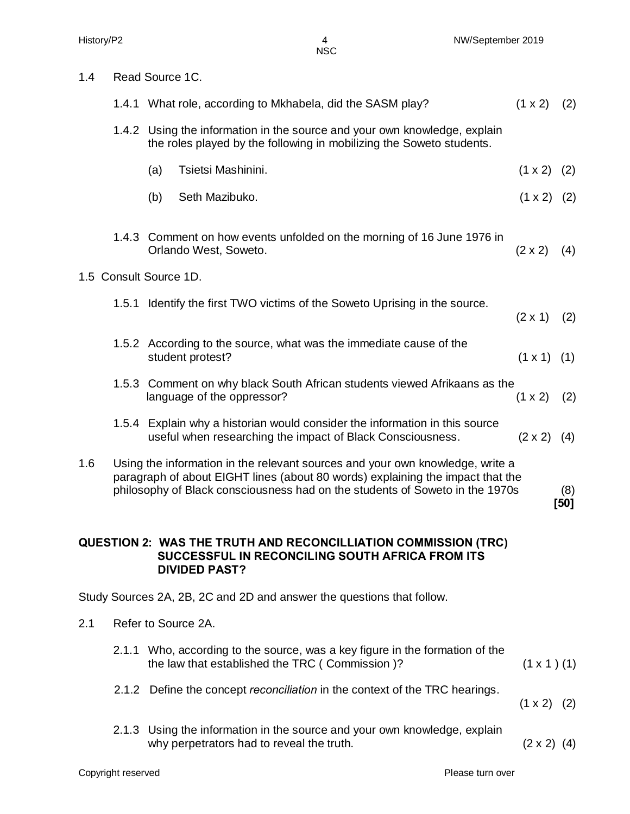1.4 Read Source 1C.

|     | 1.4.1 What role, according to Mkhabela, did the SASM play?                                                                                                                                                                                      | $(1 \times 2)$     | (2)         |
|-----|-------------------------------------------------------------------------------------------------------------------------------------------------------------------------------------------------------------------------------------------------|--------------------|-------------|
|     | 1.4.2 Using the information in the source and your own knowledge, explain<br>the roles played by the following in mobilizing the Soweto students.                                                                                               |                    |             |
|     | Tsietsi Mashinini.<br>(a)                                                                                                                                                                                                                       | $(1 \times 2)$     | (2)         |
|     | Seth Mazibuko.<br>(b)                                                                                                                                                                                                                           | $(1 \times 2)$ (2) |             |
|     | 1.4.3 Comment on how events unfolded on the morning of 16 June 1976 in<br>Orlando West, Soweto.<br>1.5 Consult Source 1D.                                                                                                                       | $(2 \times 2)$     | (4)         |
|     |                                                                                                                                                                                                                                                 |                    |             |
|     | 1.5.1 Identify the first TWO victims of the Soweto Uprising in the source.                                                                                                                                                                      | $(2 \times 1)$     | (2)         |
|     | 1.5.2 According to the source, what was the immediate cause of the<br>student protest?                                                                                                                                                          | $(1 \times 1)$ (1) |             |
|     | 1.5.3 Comment on why black South African students viewed Afrikaans as the<br>language of the oppressor?                                                                                                                                         | $(1 \times 2)$     | (2)         |
|     | 1.5.4 Explain why a historian would consider the information in this source<br>useful when researching the impact of Black Consciousness.                                                                                                       | $(2 \times 2)$ (4) |             |
| 1.6 | Using the information in the relevant sources and your own knowledge, write a<br>paragraph of about EIGHT lines (about 80 words) explaining the impact that the<br>philosophy of Black consciousness had on the students of Soweto in the 1970s |                    | (8)<br>[50] |
|     |                                                                                                                                                                                                                                                 |                    |             |

#### **QUESTION 2: WAS THE TRUTH AND RECONCILLIATION COMMISSION (TRC) SUCCESSFUL IN RECONCILING SOUTH AFRICA FROM ITS DIVIDED PAST?**

Study Sources 2A, 2B, 2C and 2D and answer the questions that follow.

- 2.1 Refer to Source 2A.
	- 2.1.1 Who, according to the source, was a key figure in the formation of the the law that established the TRC ( Commission )?  $(1 \times 1)$  (1)
	- 2.1.2 Define the concept *reconciliation* in the context of the TRC hearings.

 $(1 \times 2)$  (2)

2.1.3 Using the information in the source and your own knowledge, explain why perpetrators had to reveal the truth.  $(2 \times 2)$  (4)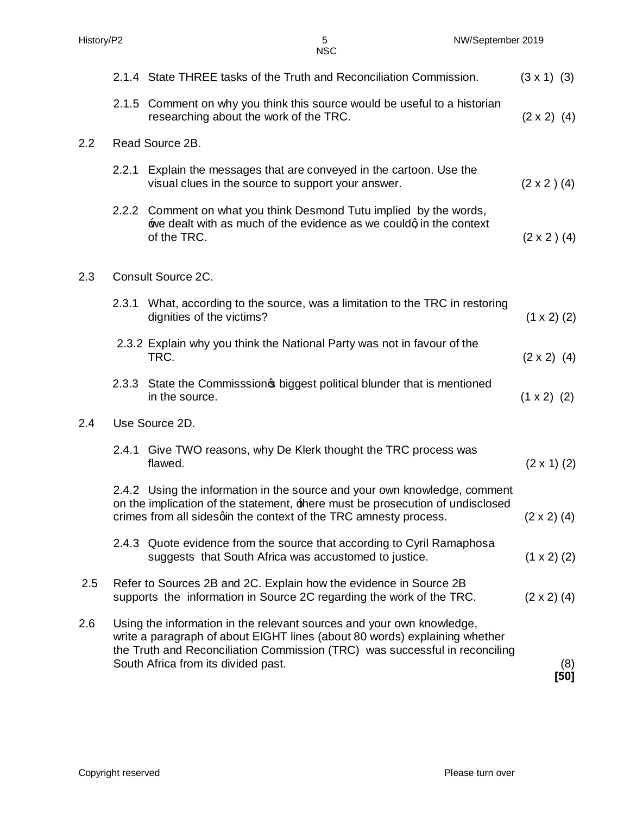|     |                    | <b>NSC</b>                                                                                                                                                                                                                                                                |                    |
|-----|--------------------|---------------------------------------------------------------------------------------------------------------------------------------------------------------------------------------------------------------------------------------------------------------------------|--------------------|
|     |                    | 2.1.4 State THREE tasks of the Truth and Reconciliation Commission.                                                                                                                                                                                                       | $(3 \times 1)$ (3) |
|     |                    | 2.1.5 Comment on why you think this source would be useful to a historian<br>researching about the work of the TRC.                                                                                                                                                       | $(2 \times 2)$ (4) |
| 2.2 |                    | Read Source 2B.                                                                                                                                                                                                                                                           |                    |
|     |                    | 2.2.1 Explain the messages that are conveyed in the cartoon. Use the<br>visual clues in the source to support your answer.                                                                                                                                                | $(2 \times 2)$ (4) |
|     |                    | 2.2.2 Comment on what you think Desmond Tutu implied by the words,<br>we dealt with as much of the evidence as we couldg in the context<br>of the TRC.                                                                                                                    | $(2 \times 2)$ (4) |
| 2.3 | Consult Source 2C. |                                                                                                                                                                                                                                                                           |                    |
|     | 2.3.1              | What, according to the source, was a limitation to the TRC in restoring<br>dignities of the victims?                                                                                                                                                                      | $(1 \times 2)$ (2) |
|     |                    | 2.3.2 Explain why you think the National Party was not in favour of the<br>TRC.                                                                                                                                                                                           | $(2 \times 2)$ (4) |
|     | 2.3.3              | State the Commisssion political blunder that is mentioned<br>in the source.                                                                                                                                                                                               | $(1 \times 2)$ (2) |
| 2.4 |                    | Use Source 2D.                                                                                                                                                                                                                                                            |                    |
|     |                    | 2.4.1 Give TWO reasons, why De Klerk thought the TRC process was<br>flawed.                                                                                                                                                                                               | $(2 \times 1)$ (2) |
|     |                    | 2.4.2 Using the information in the source and your own knowledge, comment<br>on the implication of the statement, there must be prosecution of undisclosed<br>crimes from all sidesqin the context of the TRC amnesty process.                                            | $(2 \times 2)$ (4) |
|     |                    | 2.4.3 Quote evidence from the source that according to Cyril Ramaphosa<br>suggests that South Africa was accustomed to justice.                                                                                                                                           | $(1 \times 2)$ (2) |
| 2.5 |                    | Refer to Sources 2B and 2C. Explain how the evidence in Source 2B<br>supports the information in Source 2C regarding the work of the TRC.                                                                                                                                 | $(2 \times 2)$ (4) |
| 2.6 |                    | Using the information in the relevant sources and your own knowledge,<br>write a paragraph of about EIGHT lines (about 80 words) explaining whether<br>the Truth and Reconciliation Commission (TRC) was successful in reconciling<br>South Africa from its divided past. | (8)<br>[50]        |

History/P2 5 NW/September 2019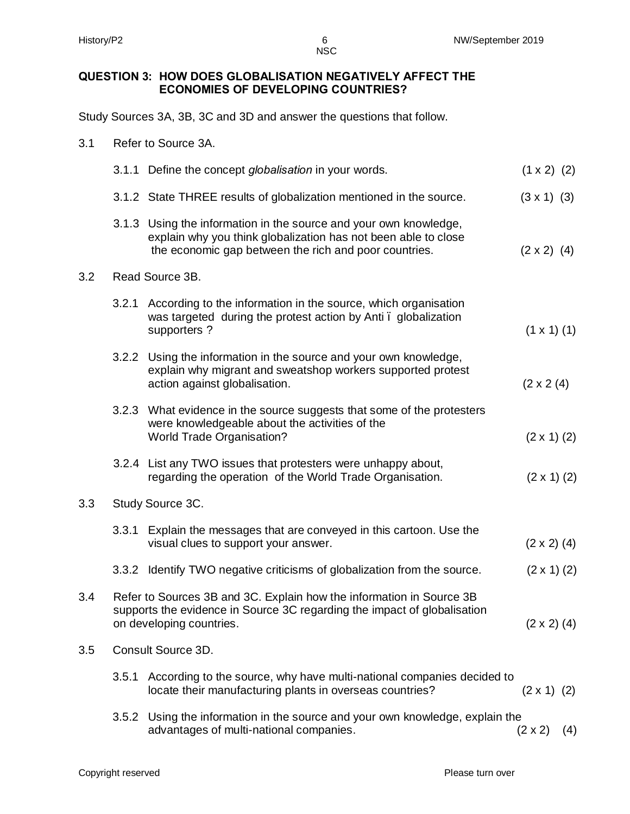NSC

## **QUESTION 3: HOW DOES GLOBALISATION NEGATIVELY AFFECT THE ECONOMIES OF DEVELOPING COUNTRIES?**

Study Sources 3A, 3B, 3C and 3D and answer the questions that follow.

| 3.1 |  | Refer to Source 3A. |  |
|-----|--|---------------------|--|
|     |  |                     |  |

|     |                  | 3.1.1 Define the concept <i>globalisation</i> in your words.                                                                                                                           | $(1 \times 2)$ (2)   |     |  |  |
|-----|------------------|----------------------------------------------------------------------------------------------------------------------------------------------------------------------------------------|----------------------|-----|--|--|
|     |                  | 3.1.2 State THREE results of globalization mentioned in the source.                                                                                                                    | $(3 \times 1)$ (3)   |     |  |  |
|     | 3.1.3            | Using the information in the source and your own knowledge,<br>explain why you think globalization has not been able to close<br>the economic gap between the rich and poor countries. | $(2 \times 2)$ (4)   |     |  |  |
| 3.2 | Read Source 3B.  |                                                                                                                                                                                        |                      |     |  |  |
|     |                  | 3.2.1 According to the information in the source, which organisation<br>was targeted during the protest action by Anti. globalization<br>supporters?                                   | $(1 \times 1)$ $(1)$ |     |  |  |
|     | 3.2.2            | Using the information in the source and your own knowledge,<br>explain why migrant and sweatshop workers supported protest<br>action against globalisation.                            | $(2 \times 2 \ (4))$ |     |  |  |
|     |                  | 3.2.3 What evidence in the source suggests that some of the protesters<br>were knowledgeable about the activities of the<br><b>World Trade Organisation?</b>                           | $(2 \times 1)$ (2)   |     |  |  |
|     |                  | 3.2.4 List any TWO issues that protesters were unhappy about,<br>regarding the operation of the World Trade Organisation.                                                              | $(2 \times 1)$ (2)   |     |  |  |
| 3.3 | Study Source 3C. |                                                                                                                                                                                        |                      |     |  |  |
|     | 3.3.1            | Explain the messages that are conveyed in this cartoon. Use the<br>visual clues to support your answer.                                                                                | $(2 \times 2)$ (4)   |     |  |  |
|     |                  | 3.3.2 Identify TWO negative criticisms of globalization from the source.                                                                                                               | $(2 \times 1)$ (2)   |     |  |  |
| 3.4 |                  | Refer to Sources 3B and 3C. Explain how the information in Source 3B<br>supports the evidence in Source 3C regarding the impact of globalisation<br>on developing countries.           |                      |     |  |  |
| 3.5 |                  | Consult Source 3D.                                                                                                                                                                     |                      |     |  |  |
|     | 3.5.1            | According to the source, why have multi-national companies decided to<br>locate their manufacturing plants in overseas countries?                                                      | $(2 \times 1)$ (2)   |     |  |  |
|     |                  | 3.5.2 Using the information in the source and your own knowledge, explain the<br>advantages of multi-national companies.                                                               | $(2 \times 2)$       | (4) |  |  |